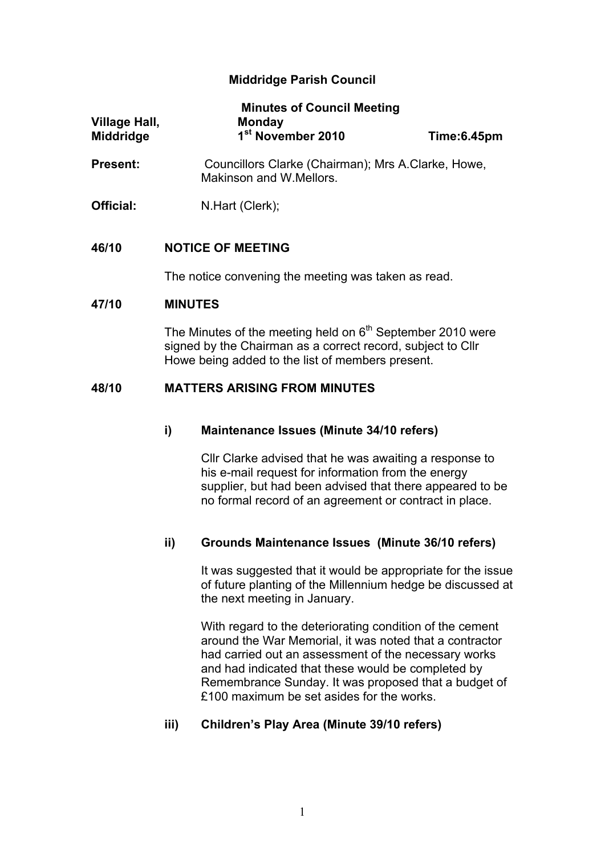# **Middridge Parish Council**

| Village Hall,<br><b>Middridge</b> | <b>Minutes of Council Meeting</b><br><b>Monday</b><br>1 <sup>st</sup> November 2010 | Time:6.45pm |
|-----------------------------------|-------------------------------------------------------------------------------------|-------------|
| <b>Present:</b>                   | Councillors Clarke (Chairman); Mrs A.Clarke, Howe,<br>Makinson and W.Mellors.       |             |
| Official:                         | N.Hart (Clerk);                                                                     |             |

#### **46/10 NOTICE OF MEETING**

The notice convening the meeting was taken as read.

#### **47/10 MINUTES**

The Minutes of the meeting held on  $6<sup>th</sup>$  September 2010 were signed by the Chairman as a correct record, subject to Cllr Howe being added to the list of members present.

## **48/10 MATTERS ARISING FROM MINUTES**

### **i) Maintenance Issues (Minute 34/10 refers)**

Cllr Clarke advised that he was awaiting a response to his e-mail request for information from the energy supplier, but had been advised that there appeared to be no formal record of an agreement or contract in place.

## **ii) Grounds Maintenance Issues (Minute 36/10 refers)**

It was suggested that it would be appropriate for the issue of future planting of the Millennium hedge be discussed at the next meeting in January.

With regard to the deteriorating condition of the cement around the War Memorial, it was noted that a contractor had carried out an assessment of the necessary works and had indicated that these would be completed by Remembrance Sunday. It was proposed that a budget of £100 maximum be set asides for the works.

## **iii) Children's Play Area (Minute 39/10 refers)**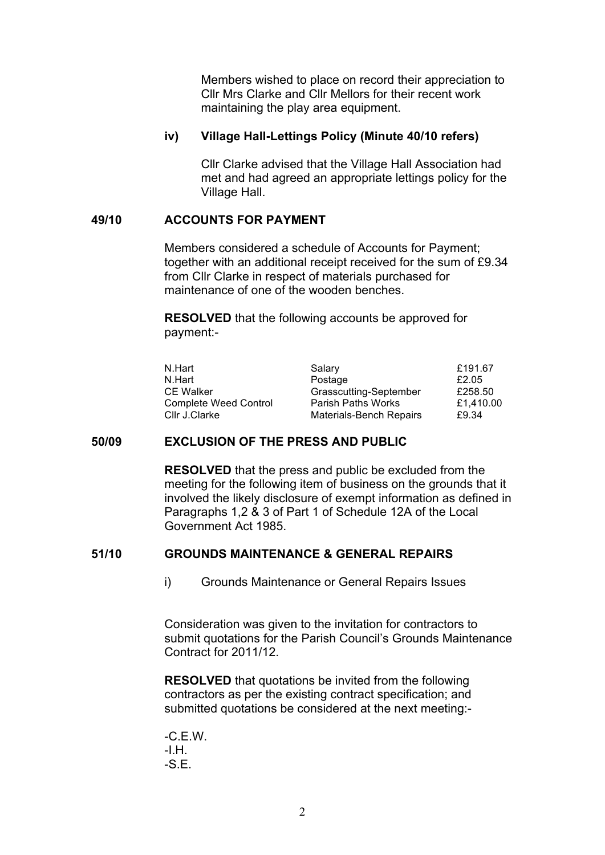Members wished to place on record their appreciation to Cllr Mrs Clarke and Cllr Mellors for their recent work maintaining the play area equipment.

## **iv) Village Hall-Lettings Policy (Minute 40/10 refers)**

Cllr Clarke advised that the Village Hall Association had met and had agreed an appropriate lettings policy for the Village Hall.

## **49/10 ACCOUNTS FOR PAYMENT**

Members considered a schedule of Accounts for Payment; together with an additional receipt received for the sum of £9.34 from Cllr Clarke in respect of materials purchased for maintenance of one of the wooden benches.

**RESOLVED** that the following accounts be approved for payment:-

| N.Hart                       | Salary                    | £191.67   |
|------------------------------|---------------------------|-----------|
| N.Hart                       | Postage                   | £2.05     |
| <b>CE Walker</b>             | Grasscutting-September    | £258.50   |
| <b>Complete Weed Control</b> | <b>Parish Paths Works</b> | £1.410.00 |
| Cllr J.Clarke                | Materials-Bench Repairs   | £9.34     |

## **50/09 EXCLUSION OF THE PRESS AND PUBLIC**

**RESOLVED** that the press and public be excluded from the meeting for the following item of business on the grounds that it involved the likely disclosure of exempt information as defined in Paragraphs 1,2 & 3 of Part 1 of Schedule 12A of the Local Government Act 1985.

## **51/10 GROUNDS MAINTENANCE & GENERAL REPAIRS**

i) Grounds Maintenance or General Repairs Issues

Consideration was given to the invitation for contractors to submit quotations for the Parish Council's Grounds Maintenance Contract for 2011/12.

**RESOLVED** that quotations be invited from the following contractors as per the existing contract specification; and submitted quotations be considered at the next meeting:-

-C.E.W. -I.H. -S.E.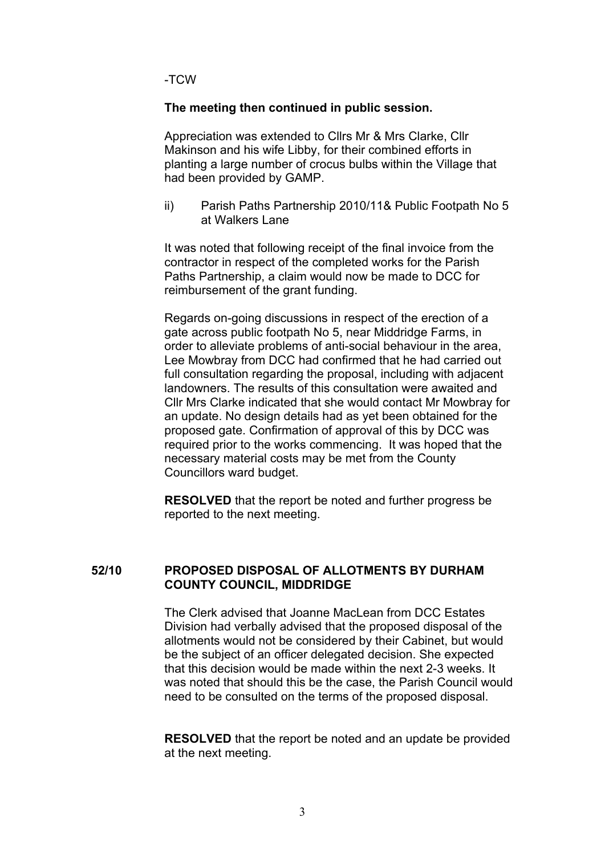-TCW

### **The meeting then continued in public session.**

Appreciation was extended to Cllrs Mr & Mrs Clarke, Cllr Makinson and his wife Libby, for their combined efforts in planting a large number of crocus bulbs within the Village that had been provided by GAMP.

ii) Parish Paths Partnership 2010/11& Public Footpath No 5 at Walkers Lane

It was noted that following receipt of the final invoice from the contractor in respect of the completed works for the Parish Paths Partnership, a claim would now be made to DCC for reimbursement of the grant funding.

Regards on-going discussions in respect of the erection of a gate across public footpath No 5, near Middridge Farms, in order to alleviate problems of anti-social behaviour in the area, Lee Mowbray from DCC had confirmed that he had carried out full consultation regarding the proposal, including with adjacent landowners. The results of this consultation were awaited and Cllr Mrs Clarke indicated that she would contact Mr Mowbray for an update. No design details had as yet been obtained for the proposed gate. Confirmation of approval of this by DCC was required prior to the works commencing. It was hoped that the necessary material costs may be met from the County Councillors ward budget.

**RESOLVED** that the report be noted and further progress be reported to the next meeting.

#### **52/10 PROPOSED DISPOSAL OF ALLOTMENTS BY DURHAM COUNTY COUNCIL, MIDDRIDGE**

The Clerk advised that Joanne MacLean from DCC Estates Division had verbally advised that the proposed disposal of the allotments would not be considered by their Cabinet, but would be the subject of an officer delegated decision. She expected that this decision would be made within the next 2-3 weeks. It was noted that should this be the case, the Parish Council would need to be consulted on the terms of the proposed disposal.

**RESOLVED** that the report be noted and an update be provided at the next meeting.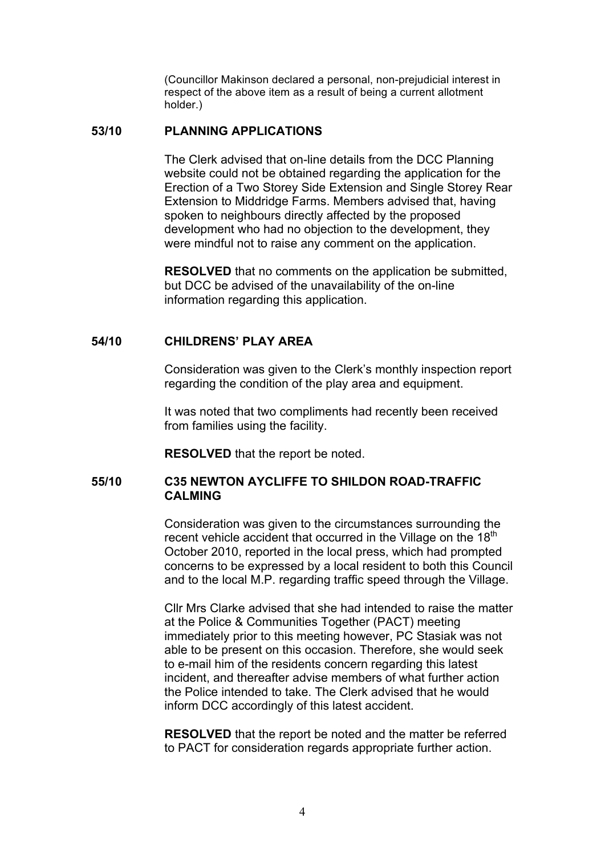(Councillor Makinson declared a personal, non-prejudicial interest in respect of the above item as a result of being a current allotment holder.)

#### **53/10 PLANNING APPLICATIONS**

The Clerk advised that on-line details from the DCC Planning website could not be obtained regarding the application for the Erection of a Two Storey Side Extension and Single Storey Rear Extension to Middridge Farms. Members advised that, having spoken to neighbours directly affected by the proposed development who had no objection to the development, they were mindful not to raise any comment on the application.

**RESOLVED** that no comments on the application be submitted, but DCC be advised of the unavailability of the on-line information regarding this application.

## **54/10 CHILDRENS' PLAY AREA**

Consideration was given to the Clerk's monthly inspection report regarding the condition of the play area and equipment.

It was noted that two compliments had recently been received from families using the facility.

**RESOLVED** that the report be noted.

#### **55/10 C35 NEWTON AYCLIFFE TO SHILDON ROAD-TRAFFIC CALMING**

Consideration was given to the circumstances surrounding the recent vehicle accident that occurred in the Village on the  $18<sup>th</sup>$ October 2010, reported in the local press, which had prompted concerns to be expressed by a local resident to both this Council and to the local M.P. regarding traffic speed through the Village.

Cllr Mrs Clarke advised that she had intended to raise the matter at the Police & Communities Together (PACT) meeting immediately prior to this meeting however, PC Stasiak was not able to be present on this occasion. Therefore, she would seek to e-mail him of the residents concern regarding this latest incident, and thereafter advise members of what further action the Police intended to take. The Clerk advised that he would inform DCC accordingly of this latest accident.

**RESOLVED** that the report be noted and the matter be referred to PACT for consideration regards appropriate further action.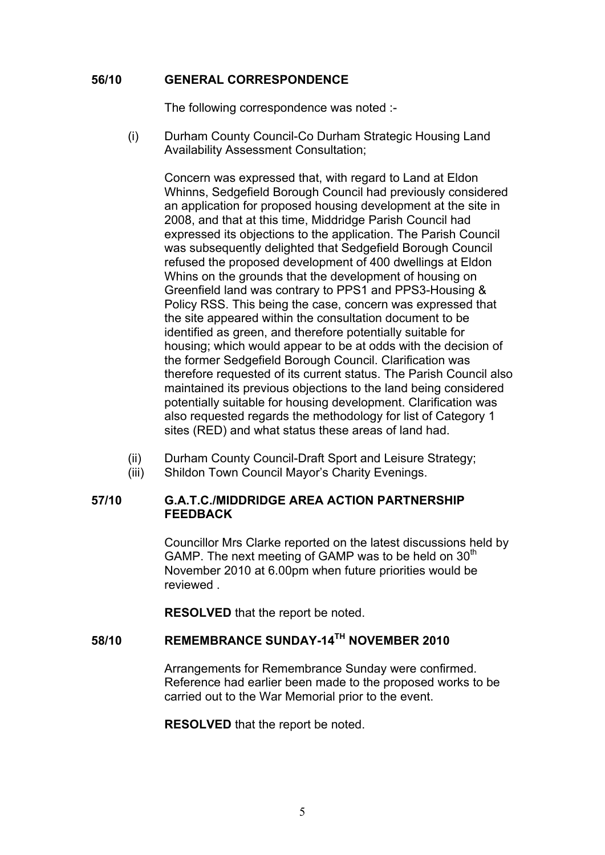## **56/10 GENERAL CORRESPONDENCE**

The following correspondence was noted :-

(i) Durham County Council-Co Durham Strategic Housing Land Availability Assessment Consultation;

Concern was expressed that, with regard to Land at Eldon Whinns, Sedgefield Borough Council had previously considered an application for proposed housing development at the site in 2008, and that at this time, Middridge Parish Council had expressed its objections to the application. The Parish Council was subsequently delighted that Sedgefield Borough Council refused the proposed development of 400 dwellings at Eldon Whins on the grounds that the development of housing on Greenfield land was contrary to PPS1 and PPS3-Housing & Policy RSS. This being the case, concern was expressed that the site appeared within the consultation document to be identified as green, and therefore potentially suitable for housing; which would appear to be at odds with the decision of the former Sedgefield Borough Council. Clarification was therefore requested of its current status. The Parish Council also maintained its previous objections to the land being considered potentially suitable for housing development. Clarification was also requested regards the methodology for list of Category 1 sites (RED) and what status these areas of land had.

- (ii) Durham County Council-Draft Sport and Leisure Strategy;
- (iii) Shildon Town Council Mayor's Charity Evenings.

### **57/10 G.A.T.C./MIDDRIDGE AREA ACTION PARTNERSHIP FEEDBACK**

Councillor Mrs Clarke reported on the latest discussions held by GAMP. The next meeting of GAMP was to be held on  $30<sup>th</sup>$ November 2010 at 6.00pm when future priorities would be **reviewed** 

**RESOLVED** that the report be noted.

# **58/10 REMEMBRANCE SUNDAY-14TH NOVEMBER 2010**

Arrangements for Remembrance Sunday were confirmed. Reference had earlier been made to the proposed works to be carried out to the War Memorial prior to the event.

**RESOLVED** that the report be noted.